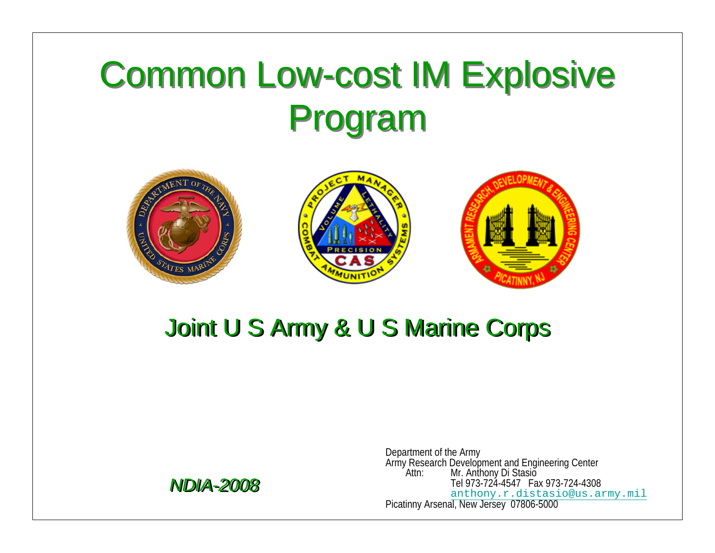# Common Low-cost IM Explosive Common Low-cost IM Explosive Program Program



### Joint U S Army & U S Marine Corps Joint U S Army & U S Marine Corps



Department of the Army Army Research Development and Engineering Center Attn: Mr. Anthony Di Stasio Tel 973-724-4547 Fax 973-724-4308 [anthony.r.distasio@us.army.mil](mailto:anthony.r.distasio@us.army.mil) Picatinny Arsenal, New Jersey 07806-5000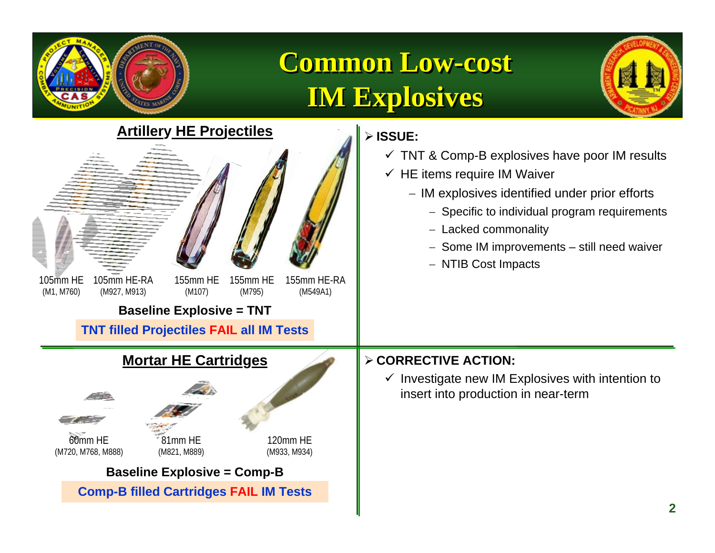

## **Common Low-cost Common Low-cost IM Explosives IM Explosives**



#### **Artillery HE Projectiles Mortar HE Cartridges**  $105$ mm HF (M1, M760) 105mm HE-RA(M927, M913) 155mm HE-RA(M549A1) 155mm HE(M107) 60mm HE(M720, M768, M888) 81mm HE(M821, M889) 120mm HE(M933, M934) 155mm HE(M795) **Baseline Explosive = TNT TNT filled Projectiles FAIL all IM Tests Baseline Explosive = Comp-B Comp-B filled Cartridges FAIL IM Tests**

#### ¾ **ISSUE:**

- $\checkmark$  TNT & Comp-B explosives have poor IM results
- $\checkmark$  HE items require IM Waiver
	- − IM explosives identified under prior efforts
		- − Specific to individual program requirements
		- − Lacked commonality
		- − Some IM improvements still need waiver
		- − NTIB Cost Impacts

#### ¾ **CORRECTIVE ACTION:**

 $\checkmark$  Investigate new IM Explosives with intention to insert into production in near-term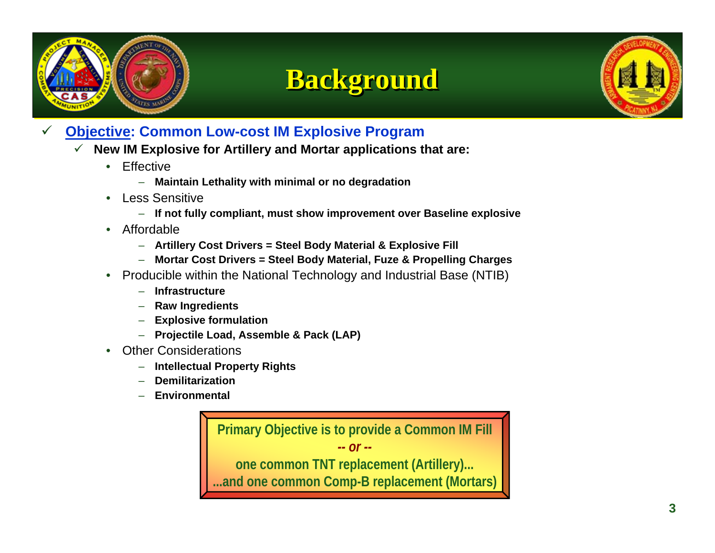





- $\checkmark$  **Objective: Common Low-cost IM Explosive Program**
	- $\checkmark$  **New IM Explosive for Artillery and Mortar applications that are:**
		- •**Effective** 
			- **Maintain Lethality with minimal or no degradation**
		- • Less Sensitive
			- **If not fully compliant, must show improvement over Baseline explosive**
		- Affordable
			- **Artillery Cost Drivers = Steel Body Material & Explosive Fill**
			- **Mortar Cost Drivers = Steel Body Material, Fuze & Propelling Charges**
		- Producible within the National Technology and Industrial Base (NTIB)
			- **Infrastructure**
			- **Raw Ingredients**
			- **Explosive formulation**
			- **Projectile Load, Assemble & Pack (LAP)**
		- Other Considerations
			- **Intellectual Property Rights**
			- **Demilitarization**
			- **Environmental**

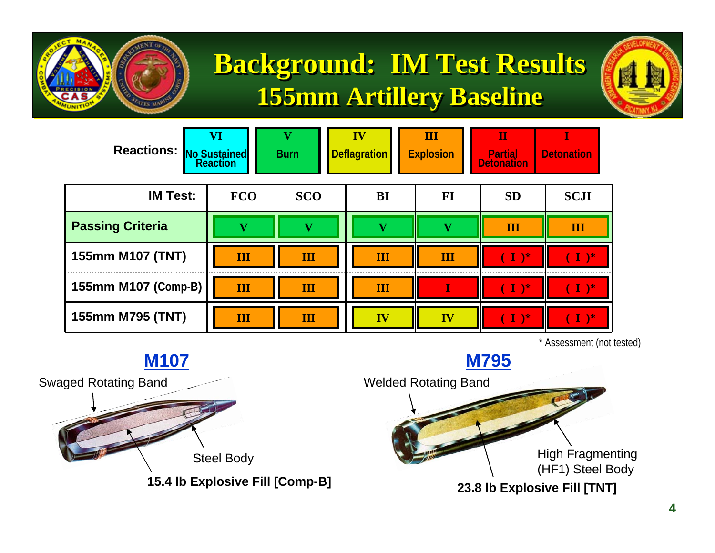

## **Background: IM Test Results Background: IM Test Results 155mm Artillery Baseline 155mm Artillery Baseline**



| Reactions: No Sustained<br>Reaction | VI                      | $\mathbf{V}$<br><b>Burn</b> | IV<br><b>Deflagration</b> | Ш<br><b>Explosion</b> | $\overline{\mathbf{u}}$<br><b>Partial</b><br>Detonation | <b>Detonation</b> |
|-------------------------------------|-------------------------|-----------------------------|---------------------------|-----------------------|---------------------------------------------------------|-------------------|
| <b>IM Test:</b>                     | <b>FCO</b>              | <b>SCO</b>                  | <b>BI</b>                 | FI                    | <b>SD</b>                                               | <b>SCJI</b>       |
| <b>Passing Criteria</b>             |                         |                             |                           |                       | Ш                                                       | Ш                 |
| 155mm M107 (TNT)                    | Ш                       | Ш                           | Ш                         | Ш                     | $\mathbf{I}$                                            | $\mathbf{I}$      |
| 155mm M107 (Comp-B)                 | $\overline{\mathbf{H}}$ | Ш                           | $\mathbf{III}$            |                       | $\rightarrow$                                           | `*∖               |
| 155mm M795 (TNT)                    | $\overline{\mathbf{H}}$ | Ш                           | IV                        | IV                    | $I$ )*                                                  | $\mathbf{I}$ )*   |

\* Assessment (not tested)

Welded Rotating Band High Fragmenting (HF1) Steel Body **23.8 lb Explosive Fill [TNT] M795** Swaged Rotating Band Steel Body **15.4 lb Explosive Fill [Comp-B] M107**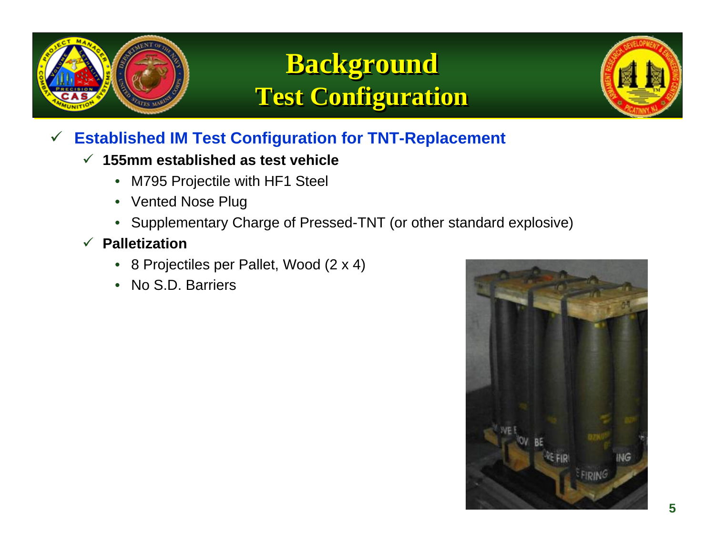

### **Background Background Test Configuration Test Configuration**



#### $\checkmark$ **Established IM Test Configuration for TNT-Replacement**

#### 9 **155mm established as test vehicle**

- M795 Projectile with HF1 Steel
- Vented Nose Plug
- Supplementary Charge of Pressed-TNT (or other standard explosive)
- 9 **Palletization**
	- 8 Projectiles per Pallet, Wood (2 x 4)
	- No S.D. Barriers

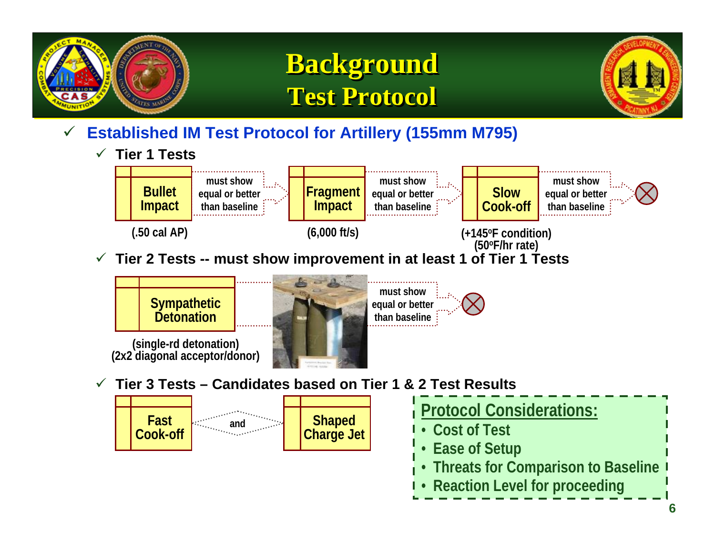

 $\checkmark$ 

### **Background Background Test Protocol Test Protocol**



**must showequal or better than baseline**

**6**

- $\checkmark$  **Established IM Test Protocol for Artillery (155mm M795)**
	- 9 **Tier 1 Tests must showequal or better than baseline BulletImpact Fragment Impact**

**(.50 cal AP)**

**FastCook-off** **(6,000 ft/s)**

#### **than baselineCook-off (+145oF condition)**

**Slow**

**must showequal or better**

 $\checkmark$  **Tier 2 Tests -- must show improvement in at least 1 of Tier 1 Tests (50oF/hr rate)**



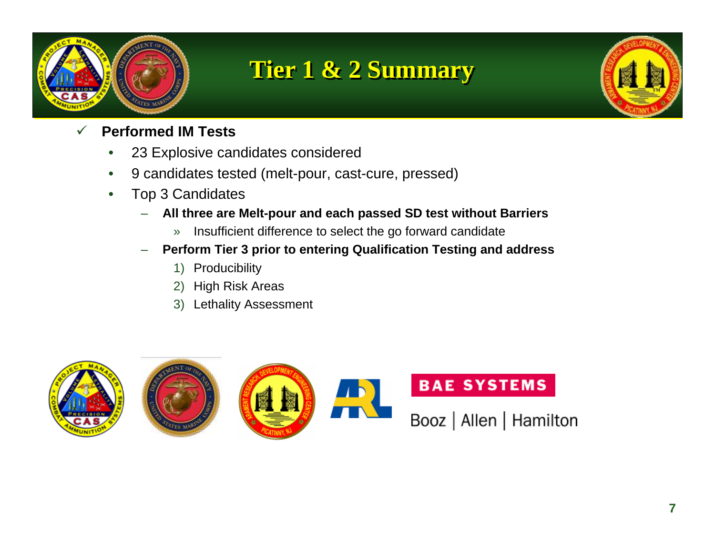

### **Tier 1 & 2 Summary Tier 1 & 2 Summary**



- $\checkmark$  **Performed IM Tests**
	- •23 Explosive candidates considered
	- •9 candidates tested (melt-pour, cast-cure, pressed)
	- • Top 3 Candidates
		- **All three are Melt-pour and each passed SD test without Barriers**
			- »Insufficient difference to select the go forward candidate
		- **Perform Tier 3 prior to entering Qualification Testing and address**
			- 1) Producibility
			- 2) High Risk Areas
			- 3) Lethality Assessment

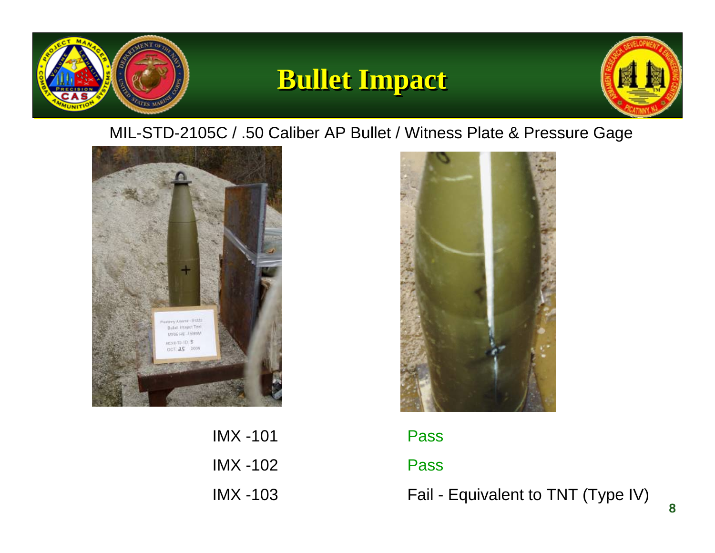

### **Bullet Impact Bullet Impact**



#### MIL-STD-2105C / .50 Caliber AP Bullet / Witness Plate & Pressure Gage





| <b>IMX -101</b> | Pass   |
|-----------------|--------|
| $IMX - 102$     | Pass   |
| $IMX - 103$     | Fail - |

Pass

Fail - Equivalent to TNT (Type IV)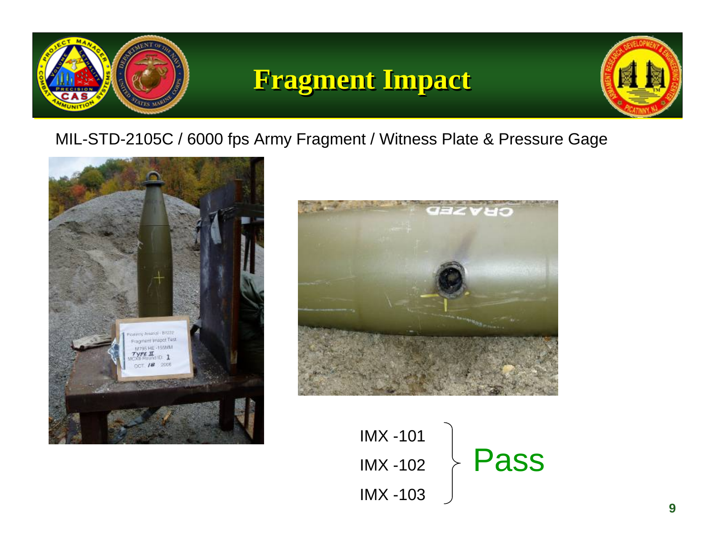

### **Fragment Impact Fragment Impact**



### MIL-STD-2105C / 6000 fps Army Fragment / Witness Plate & Pressure Gage





IMX -101IMX -102 IMX -103 Pass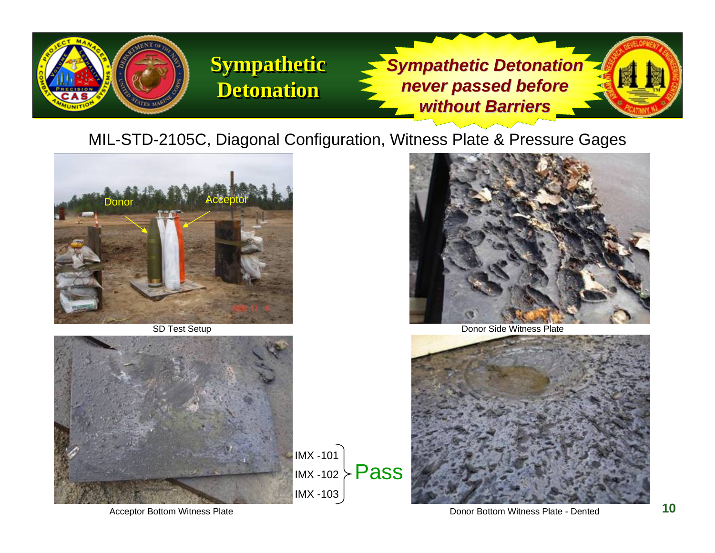

### **Sympathetic Sympathetic Detonation Detonation**

**Sympathetic Detonation**<sup>®</sup> *never passed before never passed before without Barriers without* 

### MIL-STD-2105C, Diagonal Configuration, Witness Plate & Pressure Gages





SD Test Setup **Donor Side Witness Plate** 





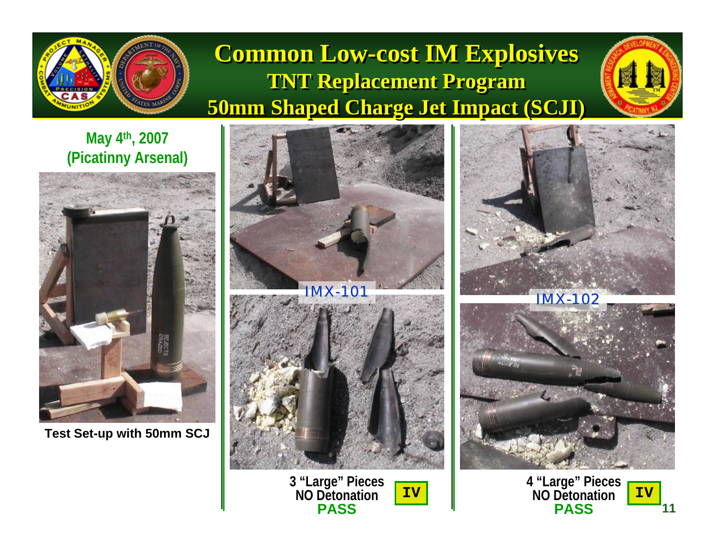

### **Common Low-cost IM Explosives Common Low-cost IM Explosives TNT Replacement Program TNT Replacement Program 50mm Shaped Charge Jet Impact (SCJI) 50mm Shaped Charge Jet Impact (SCJI)**



### **May 4th, 2007 (Picatinny Arsenal)**



**Test Set-up with 50mm SCJ**



**NO Detonation PASS**

**IV**







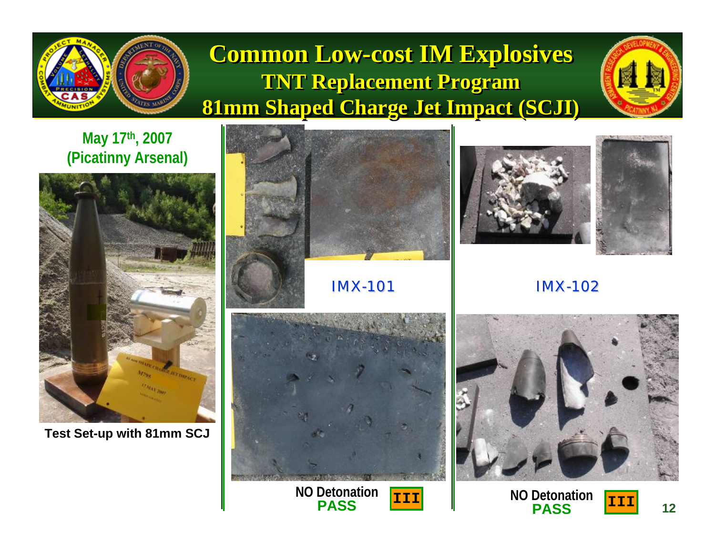

### **Common Low-cost IM Explosives Common Low-cost IM Explosives TNT Replacement Program TNT Replacement Program 81mm Shaped Charge Jet Impact (SCJI) 81mm Shaped Charge Jet Impact (SCJI)**



#### **May 17th, 2007 (Picatinny Arsenal)**



**Test Set-up with 81mm SCJ**



**PASS**

**III**





IMX-102





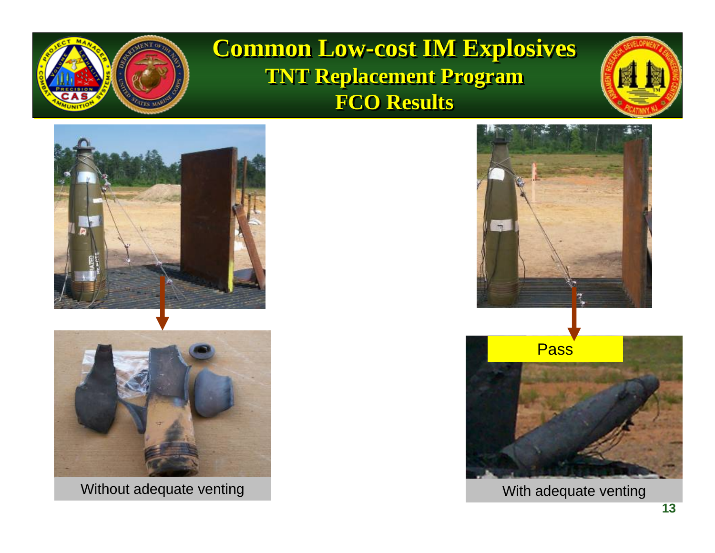

**Common Low-cost IM Explosives Common Low-cost IM Explosives TNT Replacement Program TNT Replacement Program FCO Results FCO Results**







Without adequate venting





With adequate venting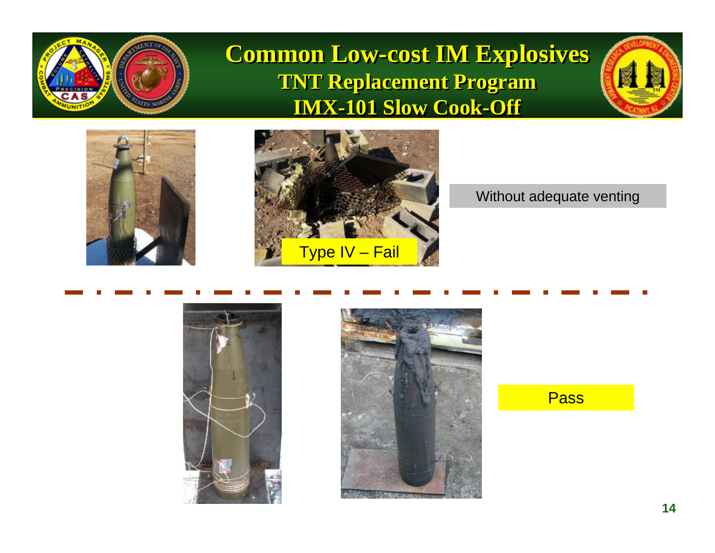

### **Common Low-cost IM Explosives Common Low-cost IM Explosives TNT Replacement Program TNT Replacement Program IMX-101 Slow Cook-Off IMX-101 Slow Cook-Off**





Without adequate venting





Pass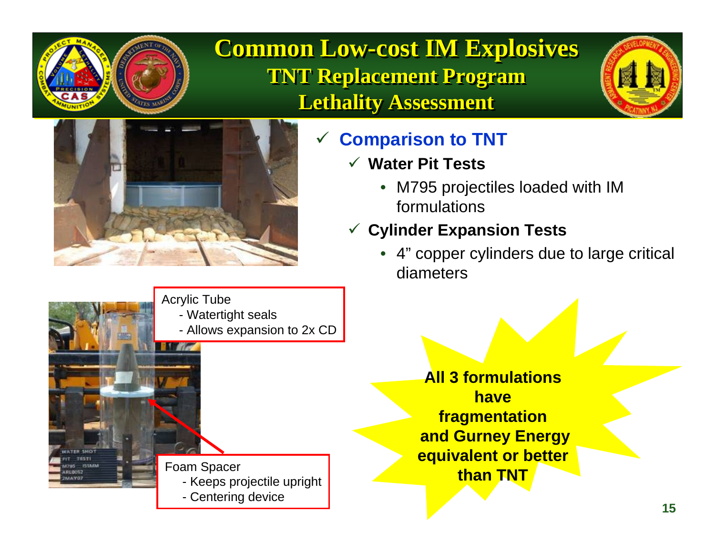

**Common Low-cost IM Explosives Common Low-cost IM Explosives TNT Replacement Program TNT Replacement Program Lethality Assessment Lethality Assessment**





#### $\checkmark$ **Comparison to TNT**

- 9 **Water Pit Tests**
	- • M795 projectiles loaded with IM formulations
- 9 **Cylinder Expansion Tests**
	- 4" copper cylinders due to large critical diameters

**All 3 formulations have fragmentation and Gurney Energy equivalent or better than TNT**

- Allows expansion to 2x CD  $\blacksquare$ **TER-SHO** Foam Spacer - Keeps projectile upright - Centering device

Acrylic Tube

- Watertight seals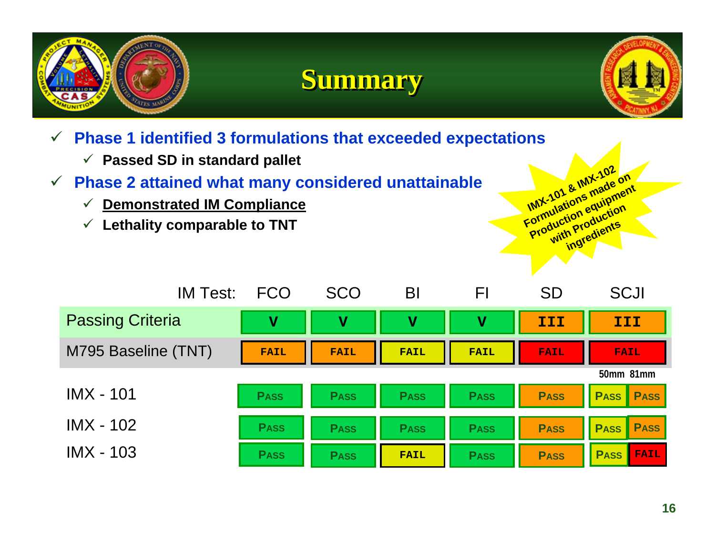





**IMX-101 & IMX-102**<br>IMX-101 & IMX-102<br>Formulation equipment **Formulations made on**<br>Formulation equipment **Production equipment with Production ingredients**

- $\checkmark$  **Phase 1 identified 3 formulations that exceeded expectations**
	- 9 **Passed SD in standard pallet**
- $\checkmark$  **Phase 2 attained what many considered unattainable**
	- $\checkmark$ **Demonstrated IM Compliance**
	- 9 **Lethality comparable to TNT**

| <b>IM Test:</b>         | <b>FCO</b>  | <b>SCO</b>                | BI                        | FI                        | <b>SD</b>   | <b>SCJI</b>                |
|-------------------------|-------------|---------------------------|---------------------------|---------------------------|-------------|----------------------------|
| <b>Passing Criteria</b> | $\mathbf v$ | $\boldsymbol{\mathrm{v}}$ | $\boldsymbol{\mathrm{v}}$ | $\boldsymbol{\mathrm{v}}$ | III         | <b>III</b>                 |
| M795 Baseline (TNT)     | <b>FAIL</b> | <b>FAIL</b>               | <b>FAIL</b>               | <b>FAIL</b>               | <b>FAIL</b> | <b>FAIL</b>                |
|                         |             |                           |                           |                           |             | 50mm 81mm                  |
| $IMX - 101$             | <b>PASS</b> | <b>PASS</b>               | <b>PASS</b>               | <b>PASS</b>               | <b>PASS</b> | <b>PASS</b><br><b>PASS</b> |
| $IMX - 102$             | <b>PASS</b> | <b>PASS</b>               | <b>PASS</b>               | <b>PASS</b>               | <b>PASS</b> | <b>PASS</b><br><b>PASS</b> |
| $IMX - 103$             | <b>PASS</b> | <b>PASS</b>               | <b>FAIL</b>               | <b>PASS</b>               | <b>PASS</b> | <b>FAIL</b><br><b>PASS</b> |